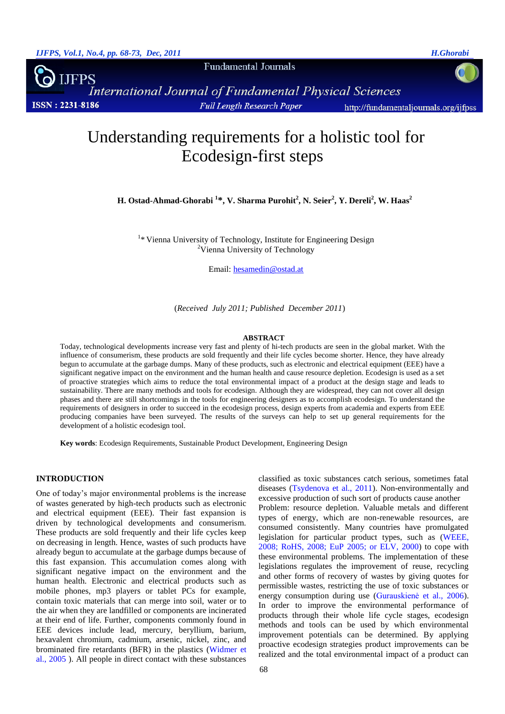**Fundamental Journals** 

FPS International Journal of Fundamental Physical Sciences **ISSN: 2231-8186 Full Length Research Paper** http://fundamentaljournals.org/ijfpss

# Understanding requirements for a holistic tool for Ecodesign-first steps

**H. Ostad-Ahmad-Ghorabi <sup>1</sup> \*, V. Sharma Purohit<sup>2</sup> , N. Seier<sup>2</sup> , Y. Dereli<sup>2</sup> , W. Haas<sup>2</sup>**

<sup>1</sup>\* Vienna University of Technology, Institute for Engineering Design <sup>2</sup>Vienna University of Technology

Email: [hesamedin@ostad.at](mailto:hesamedin@ostad.at)

(*Received July 2011; Published December 2011*)

#### **ABSTRACT**

Today, technological developments increase very fast and plenty of hi-tech products are seen in the global market. With the influence of consumerism, these products are sold frequently and their life cycles become shorter. Hence, they have already begun to accumulate at the garbage dumps. Many of these products, such as electronic and electrical equipment (EEE) have a significant negative impact on the environment and the human health and cause resource depletion. Ecodesign is used as a set of proactive strategies which aims to reduce the total environmental impact of a product at the design stage and leads to sustainability. There are many methods and tools for ecodesign. Although they are widespread, they can not cover all design phases and there are still shortcomings in the tools for engineering designers as to accomplish ecodesign. To understand the requirements of designers in order to succeed in the ecodesign process, design experts from academia and experts from EEE producing companies have been surveyed. The results of the surveys can help to set up general requirements for the development of a holistic ecodesign tool.

**Key words**: Ecodesign Requirements, Sustainable Product Development, Engineering Design

# **INTRODUCTION**

One of today's major environmental problems is the increase of wastes generated by high-tech products such as electronic and electrical equipment (EEE). Their fast expansion is driven by technological developments and consumerism. These products are sold frequently and their life cycles keep on decreasing in length. Hence, wastes of such products have already begun to accumulate at the garbage dumps because of this fast expansion. This accumulation comes along with significant negative impact on the environment and the human health. Electronic and electrical products such as mobile phones, mp3 players or tablet PCs for example, contain toxic materials that can merge into soil, water or to the air when they are landfilled or components are incinerated at their end of life. Further, components commonly found in EEE devices include lead, mercury, beryllium, barium, hexavalent chromium, cadmium, arsenic, nickel, zinc, and brominated fire retardants (BFR) in the plastics (Widmer et al., 2005 ). All people in direct contact with these substances

diseases (Tsydenova et al., 2011). Non-environmentally and excessive production of such sort of products cause another Problem: resource depletion. Valuable metals and different types of energy, which are non-renewable resources, are consumed consistently. Many countries have promulgated legislation for particular product types, such as (WEEE, 2008; RoHS, 2008; EuP 2005; or ELV, 2000) to cope with these environmental problems. The implementation of these legislations regulates the improvement of reuse, recycling and other forms of recovery of wastes by giving quotes for permissible wastes, restricting the use of toxic substances or energy consumption during use (Gurauskienė et al., 2006). In order to improve the environmental performance of products through their whole life cycle stages, ecodesign methods and tools can be used by which environmental improvement potentials can be determined. By applying proactive ecodesign strategies product improvements can be realized and the total environmental impact of a product can

classified as toxic substances catch serious, sometimes fatal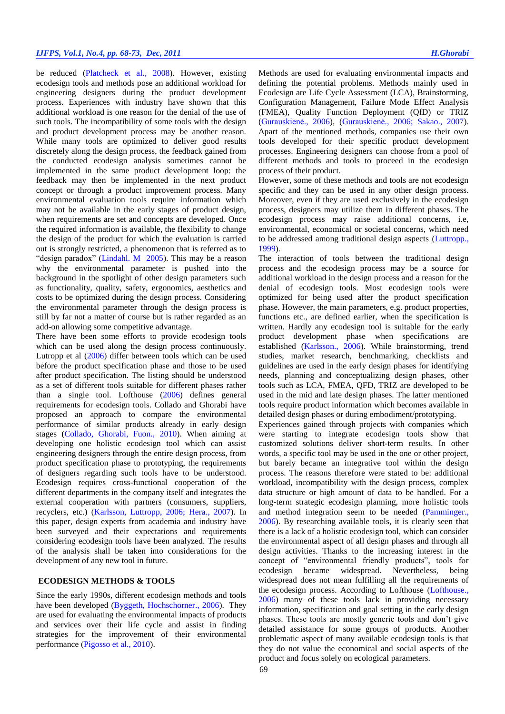be reduced (Platcheck et al., 2008). However, existing ecodesign tools and methods pose an additional workload for engineering designers during the product development process. Experiences with industry have shown that this additional workload is one reason for the denial of the use of such tools. The incompatibility of some tools with the design and product development process may be another reason. While many tools are optimized to deliver good results discretely along the design process, the feedback gained from the conducted ecodesign analysis sometimes cannot be implemented in the same product development loop: the feedback may then be implemented in the next product concept or through a product improvement process. Many environmental evaluation tools require information which may not be available in the early stages of product design, when requirements are set and concepts are developed. Once the required information is available, the flexibility to change the design of the product for which the evaluation is carried out is strongly restricted, a phenomenon that is referred as to "design paradox" (Lindahl. M 2005). This may be a reason why the environmental parameter is pushed into the background in the spotlight of other design parameters such as functionality, quality, safety, ergonomics, aesthetics and costs to be optimized during the design process. Considering the environmental parameter through the design process is still by far not a matter of course but is rather regarded as an add-on allowing some competitive advantage.

There have been some efforts to provide ecodesign tools which can be used along the design process continuously. Lutropp et al (2006) differ between tools which can be used before the product specification phase and those to be used after product specification. The listing should be understood as a set of different tools suitable for different phases rather than a single tool. Lofthouse (2006) defines general requirements for ecodesign tools. Collado and Ghorabi have proposed an approach to compare the environmental performance of similar products already in early design stages (Collado, Ghorabi, Fuon., 2010). When aiming at developing one holistic ecodesign tool which can assist engineering designers through the entire design process, from product specification phase to prototyping, the requirements of designers regarding such tools have to be understood. Ecodesign requires cross-functional cooperation of the different departments in the company itself and integrates the external cooperation with partners (consumers, suppliers, recyclers, etc.) (Karlsson, Luttropp, 2006; Hera., 2007). In this paper, design experts from academia and industry have been surveyed and their expectations and requirements considering ecodesign tools have been analyzed. The results of the analysis shall be taken into considerations for the development of any new tool in future.

# **ECODESIGN METHODS & TOOLS**

Since the early 1990s, different ecodesign methods and tools have been developed (Byggeth, Hochschorner., 2006). They are used for evaluating the environmental impacts of products and services over their life cycle and assist in finding strategies for the improvement of their environmental performance (Pigosso et al., 2010).

Methods are used for evaluating environmental impacts and defining the potential problems. Methods mainly used in Ecodesign are Life Cycle Assessment (LCA), Brainstorming, Configuration Management, Failure Mode Effect Analysis (FMEA), Quality Function Deployment (QfD) or TRIZ (Gurauskienė., 2006), (Gurauskienė., 2006; Sakao., 2007). Apart of the mentioned methods, companies use their own tools developed for their specific product development processes. Engineering designers can choose from a pool of different methods and tools to proceed in the ecodesign process of their product.

However, some of these methods and tools are not ecodesign specific and they can be used in any other design process. Moreover, even if they are used exclusively in the ecodesign process, designers may utilize them in different phases. The ecodesign process may raise additional concerns, i.e, environmental, economical or societal concerns, which need to be addressed among traditional design aspects (Luttropp., 1999).

The interaction of tools between the traditional design process and the ecodesign process may be a source for additional workload in the design process and a reason for the denial of ecodesign tools. Most ecodesign tools were optimized for being used after the product specification phase. However, the main parameters, e.g. product properties, functions etc., are defined earlier, when the specification is written. Hardly any ecodesign tool is suitable for the early product development phase when specifications are established (Karlsson., 2006). While brainstorming, trend studies, market research, benchmarking, checklists and guidelines are used in the early design phases for identifying needs, planning and conceptualizing design phases, other tools such as LCA, FMEA, QFD, TRIZ are developed to be used in the mid and late design phases. The latter mentioned tools require product information which becomes available in detailed design phases or during embodiment/prototyping.

Experiences gained through projects with companies which were starting to integrate ecodesign tools show that customized solutions deliver short-term results. In other words, a specific tool may be used in the one or other project, but barely became an integrative tool within the design process. The reasons therefore were stated to be: additional workload, incompatibility with the design process, complex data structure or high amount of data to be handled. For a long-term strategic ecodesign planning, more holistic tools and method integration seem to be needed (Pamminger., 2006). By researching available tools, it is clearly seen that there is a lack of a holistic ecodesign tool, which can consider the environmental aspect of all design phases and through all design activities. Thanks to the increasing interest in the concept of "environmental friendly products", tools for ecodesign became widespread. Nevertheless, being widespread does not mean fulfilling all the requirements of the ecodesign process. According to Lofthouse (Lofthouse., 2006) many of these tools lack in providing necessary information, specification and goal setting in the early design phases. These tools are mostly generic tools and don't give detailed assistance for some groups of products. Another problematic aspect of many available ecodesign tools is that they do not value the economical and social aspects of the product and focus solely on ecological parameters.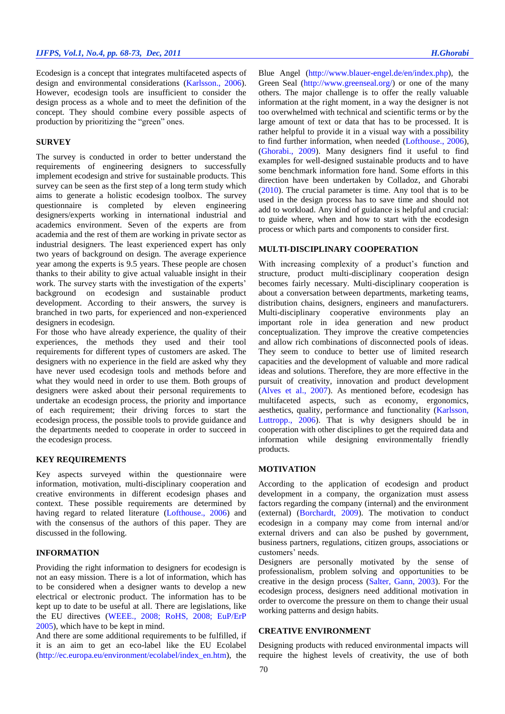Ecodesign is a concept that integrates multifaceted aspects of design and environmental considerations (Karlsson., 2006). However, ecodesign tools are insufficient to consider the design process as a whole and to meet the definition of the concept. They should combine every possible aspects of production by prioritizing the "green" ones.

#### **SURVEY**

The survey is conducted in order to better understand the requirements of engineering designers to successfully implement ecodesign and strive for sustainable products. This survey can be seen as the first step of a long term study which aims to generate a holistic ecodesign toolbox. The survey questionnaire is completed by eleven engineering designers/experts working in international industrial and academics environment. Seven of the experts are from academia and the rest of them are working in private sector as industrial designers. The least experienced expert has only two years of background on design. The average experience year among the experts is 9.5 years. These people are chosen thanks to their ability to give actual valuable insight in their work. The survey starts with the investigation of the experts' background on ecodesign and sustainable product development. According to their answers, the survey is branched in two parts, for experienced and non-experienced designers in ecodesign.

For those who have already experience, the quality of their experiences, the methods they used and their tool requirements for different types of customers are asked. The designers with no experience in the field are asked why they have never used ecodesign tools and methods before and what they would need in order to use them. Both groups of designers were asked about their personal requirements to undertake an ecodesign process, the priority and importance of each requirement; their driving forces to start the ecodesign process, the possible tools to provide guidance and the departments needed to cooperate in order to succeed in the ecodesign process.

#### **KEY REQUIREMENTS**

Key aspects surveyed within the questionnaire were information, motivation, multi-disciplinary cooperation and creative environments in different ecodesign phases and context. These possible requirements are determined by having regard to related literature (Lofthouse., 2006) and with the consensus of the authors of this paper. They are discussed in the following.

# **INFORMATION**

Providing the right information to designers for ecodesign is not an easy mission. There is a lot of information, which has to be considered when a designer wants to develop a new electrical or electronic product. The information has to be kept up to date to be useful at all. There are legislations, like the EU directives (WEEE., 2008; RoHS, 2008; EuP/ErP 2005), which have to be kept in mind.

And there are some additional requirements to be fulfilled, if it is an aim to get an eco-label like the EU Ecolabel (http://ec.europa.eu/environment/ecolabel/index\_en.htm), the

Blue Angel (http://www.blauer-engel.de/en/index.php), the Green Seal (http://www.greenseal.org/) or one of the many others. The major challenge is to offer the really valuable information at the right moment, in a way the designer is not too overwhelmed with technical and scientific terms or by the large amount of text or data that has to be processed. It is rather helpful to provide it in a visual way with a possibility to find further information, when needed (Lofthouse., 2006), (Ghorabi., 2009). Many designers find it useful to find examples for well-designed sustainable products and to have some benchmark information fore hand. Some efforts in this direction have been undertaken by Colladoz, and Ghorabi (2010). The crucial parameter is time. Any tool that is to be used in the design process has to save time and should not add to workload. Any kind of guidance is helpful and crucial: to guide where, when and how to start with the ecodesign process or which parts and components to consider first.

## **MULTI-DISCIPLINARY COOPERATION**

With increasing complexity of a product's function and structure, product multi-disciplinary cooperation design becomes fairly necessary. Multi-disciplinary cooperation is about a conversation between departments, marketing teams, distribution chains, designers, engineers and manufacturers. Multi-disciplinary cooperative environments play an important role in idea generation and new product conceptualization. They improve the creative competencies and allow rich combinations of disconnected pools of ideas. They seem to conduce to better use of limited research capacities and the development of valuable and more radical ideas and solutions. Therefore, they are more effective in the pursuit of creativity, innovation and product development (Alves et al., 2007). As mentioned before, ecodesign has multifaceted aspects, such as economy, ergonomics, aesthetics, quality, performance and functionality (Karlsson, Luttropp., 2006). That is why designers should be in cooperation with other disciplines to get the required data and information while designing environmentally friendly products.

## **MOTIVATION**

According to the application of ecodesign and product development in a company, the organization must assess factors regarding the company (internal) and the environment (external) (Borchardt, 2009). The motivation to conduct ecodesign in a company may come from internal and/or external drivers and can also be pushed by government, business partners, regulations, citizen groups, associations or customers' needs.

Designers are personally motivated by the sense of professionalism, problem solving and opportunities to be creative in the design process (Salter, Gann, 2003). For the ecodesign process, designers need additional motivation in order to overcome the pressure on them to change their usual working patterns and design habits.

# **CREATIVE ENVIRONMENT**

Designing products with reduced environmental impacts will require the highest levels of creativity, the use of both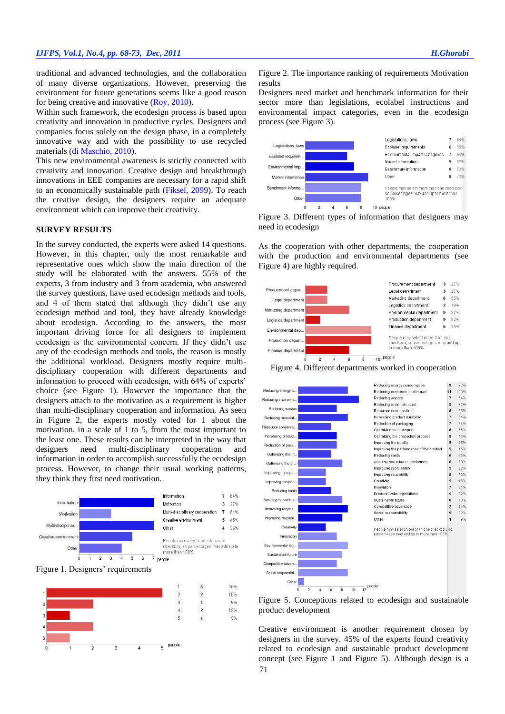traditional and advanced technologies, and the collaboration of many diverse organizations. However, preserving the environment for future generations seems like a good reason for being creative and innovative (Roy, 2010).

Within such framework, the ecodesign process is based upon creativity and innovation in productive cycles. Designers and companies focus solely on the design phase, in a completely innovative way and with the possibility to use recycled materials (di Maschio, 2010).

This new environmental awareness is strictly connected with creativity and innovation. Creative design and breakthrough innovations in EEE companies are necessary for a rapid shift to an economically sustainable path (Fiksel, 2099). To reach the creative design, the designers require an adequate environment which can improve their creativity.

#### **SURVEY RESULTS**

In the survey conducted, the experts were asked 14 questions. However, in this chapter, only the most remarkable and representative ones which show the main direction of the study will be elaborated with the answers. 55% of the experts, 3 from industry and 3 from academia, who answered the survey questions, have used ecodesign methods and tools, and 4 of them stated that although they didn't use any ecodesign method and tool, they have already knowledge about ecodesign. According to the answers, the most important driving force for all designers to implement ecodesign is the environmental concern. If they didn't use any of the ecodesign methods and tools, the reason is mostly the additional workload. Designers mostly require multidisciplinary cooperation with different departments and information to proceed with ecodesign, with 64% of experts' choice (see Figure 1). However the importance that the designers attach to the motivation as a requirement is higher than multi-disciplinary cooperation and information. As seen in Figure 2, the experts mostly voted for 1 about the motivation, in a scale of 1 to 5, from the most important to the least one. These results can be interpreted in the way that designers need multi-disciplinary cooperation and information in order to accomplish successfully the ecodesign process. However, to change their usual working patterns, they think they first need motivation.







Figure 2. The importance ranking of requirements Motivation results

Designers need market and benchmark information for their sector more than legislations, ecolabel instructions and environmental impact categories, even in the ecodesign process (see Figure 3).



Figure 3. Different types of information that designers may need in ecodesign

As the cooperation with other departments, the cooperation with the production and environmental departments (see Figure 4) are highly required.







Figure 5. Conceptions related to ecodesign and sustainable product development

71 Creative environment is another requirement chosen by designers in the survey. 45% of the experts found creativity related to ecodesign and sustainable product development concept (see Figure 1 and Figure 5). Although design is a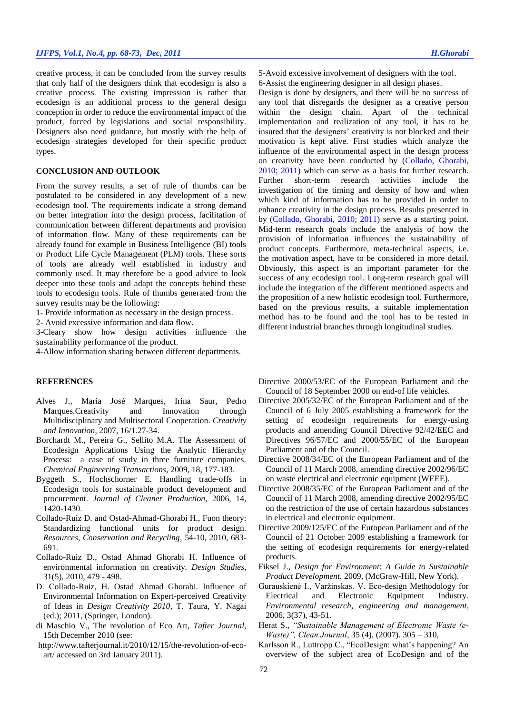# *IJFPS, Vol.1, No.4, pp. 68-73, Dec, 2011 H.Ghorabi*

creative process, it can be concluded from the survey results that only half of the designers think that ecodesign is also a creative process. The existing impression is rather that ecodesign is an additional process to the general design conception in order to reduce the environmental impact of the product, forced by legislations and social responsibility. Designers also need guidance, but mostly with the help of ecodesign strategies developed for their specific product types.

## **CONCLUSION AND OUTLOOK**

From the survey results, a set of rule of thumbs can be postulated to be considered in any development of a new ecodesign tool. The requirements indicate a strong demand on better integration into the design process, facilitation of communication between different departments and provision of information flow. Many of these requirements can be already found for example in Business Intelligence (BI) tools or Product Life Cycle Management (PLM) tools. These sorts of tools are already well established in industry and commonly used. It may therefore be a good advice to look deeper into these tools and adapt the concepts behind these tools to ecodesign tools. Rule of thumbs generated from the survey results may be the following:

1- Provide information as necessary in the design process.

2- Avoid excessive information and data flow.

3-Cleary show how design activities influence the sustainability performance of the product.

4-Allow information sharing between different departments.

## **REFERENCES**

- Alves J., Maria José Marques, Irina Saur, Pedro Marques.Creativity and Innovation through Multidisciplinary and Multisectoral Cooperation. *Creativity and Innovation*, 2007, 16/1.27-34.
- Borchardt M., Pereira G., Sellito M.A. The Assessment of Ecodesign Applications Using the Analytic Hierarchy Process: a case of study in three furniture companies. *Chemical Engineering Transactions*, 2009, 18, 177-183.
- Byggeth S., Hochschorner E. Handling trade-offs in Ecodesign tools for sustainable product development and procurement. *Journal of Cleaner Production*, 2006, 14, 1420-1430.
- Collado-Ruiz D. and Ostad-Ahmad-Ghorabi H., Fuon theory: Standardizing functional units for product design. *Resources, Conservation and Recycling,* 54-10, 2010, 683- 691.
- Collado-Ruiz D., Ostad Ahmad Ghorabi H. Influence of environmental information on creativity. *Design Studies*, 31(5), 2010, 479 - 498.
- D. Collado-Ruiz, H. Ostad Ahmad Ghorabi. Influence of Environmental Information on Expert-perceived Creativity of Ideas in *Design Creativity 2010*, T. Taura, Y. Nagai (ed.); 2011, (Springer, London).
- di Maschio V., The revolution of Eco Art, *Tafter Journal*, 15th December 2010 (see:
- http://www.tafterjournal.it/2010/12/15/the-revolution-of-ecoart/ accessed on 3rd January 2011).

5-Avoid excessive involvement of designers with the tool. 6-Assist the engineering designer in all design phases.

Design is done by designers, and there will be no success of any tool that disregards the designer as a creative person within the design chain. Apart of the technical implementation and realization of any tool, it has to be insured that the designers' creativity is not blocked and their motivation is kept alive. First studies which analyze the influence of the environmental aspect in the design process on creativity have been conducted by (Collado, Ghorabi, 2010; 2011) which can serve as a basis for further research. Further short-term research activities include the investigation of the timing and density of how and when which kind of information has to be provided in order to enhance creativity in the design process. Results presented in by (Collado, Ghorabi, 2010; 2011) serve as a starting point. Mid-term research goals include the analysis of how the provision of information influences the sustainability of product concepts. Furthermore, meta-technical aspects, i.e. the motivation aspect, have to be considered in more detail. Obviously, this aspect is an important parameter for the success of any ecodesign tool. Long-term research goal will include the integration of the different mentioned aspects and the proposition of a new holistic ecodesign tool. Furthermore, based on the previous results, a suitable implementation method has to be found and the tool has to be tested in different industrial branches through longitudinal studies.

- Directive 2000/53/EC of the European Parliament and the Council of 18 September 2000 on end-of life vehicles.
- Directive 2005/32/EC of the European Parliament and of the Council of 6 July 2005 establishing a framework for the setting of ecodesign requirements for energy-using products and amending Council Directive 92/42/EEC and Directives 96/57/EC and 2000/55/EC of the European Parliament and of the Council.
- Directive 2008/34/EC of the European Parliament and of the Council of 11 March 2008, amending directive 2002/96/EC on waste electrical and electronic equipment (WEEE).
- Directive 2008/35/EC of the European Parliament and of the Council of 11 March 2008, amending directive 2002/95/EC on the restriction of the use of certain hazardous substances in electrical and electronic equipment.
- Directive 2009/125/EC of the European Parliament and of the Council of 21 October 2009 establishing a framework for the setting of ecodesign requirements for energy-related products.
- Fiksel J., *Design for Environment*: *A Guide to Sustainable Product Development.* 2009, (McGraw-Hill, New York).
- Gurauskienė I., Varžinskas. V. Eco-design Methodology for Electrical and Electronic Equipment Industry. *Environmental research, engineering and management*, 2006, 3(37), 43-51.
- Herat S., *"Sustainable Management of Electronic Waste (e-Waste)", Clean Journal*, 35 (4), (2007). 305 – 310,
- Karlsson R., Luttropp C., "EcoDesign: what's happening? An overview of the subject area of EcoDesign and of the